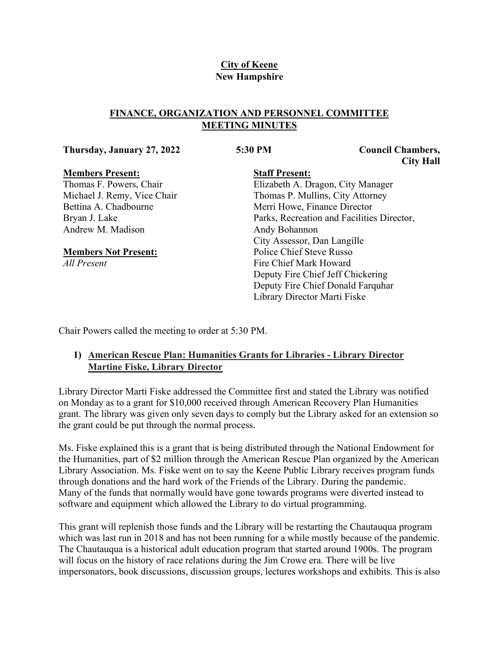# **City of Keene New Hampshire**

## **FINANCE, ORGANIZATION AND PERSONNEL COMMITTEE MEETING MINUTES**

#### **Thursday, January 27, 2022 5:30 PM Council Chambers,**

**City Hall**

### **Members Present:**

Thomas F. Powers, Chair Michael J. Remy, Vice Chair Bettina A. Chadbourne Bryan J. Lake Andrew M. Madison

## **Members Not Present:**

*All Present*

# **Staff Present:**

Elizabeth A. Dragon, City Manager Thomas P. Mullins, City Attorney Merri Howe, Finance Director Parks, Recreation and Facilities Director, Andy Bohannon City Assessor, Dan Langille Police Chief Steve Russo Fire Chief Mark Howard Deputy Fire Chief Jeff Chickering Deputy Fire Chief Donald Farquhar Library Director Marti Fiske

Chair Powers called the meeting to order at 5:30 PM.

# **1) American Rescue Plan: Humanities Grants for Libraries - Library Director Martine Fiske, Library Director**

Library Director Marti Fiske addressed the Committee first and stated the Library was notified on Monday as to a grant for \$10,000 received through American Recovery Plan Humanities grant. The library was given only seven days to comply but the Library asked for an extension so the grant could be put through the normal process.

Ms. Fiske explained this is a grant that is being distributed through the National Endowment for the Humanities, part of \$2 million through the American Rescue Plan organized by the American Library Association. Ms. Fiske went on to say the Keene Public Library receives program funds through donations and the hard work of the Friends of the Library. During the pandemic. Many of the funds that normally would have gone towards programs were diverted instead to software and equipment which allowed the Library to do virtual programming.

This grant will replenish those funds and the Library will be restarting the Chautauqua program which was last run in 2018 and has not been running for a while mostly because of the pandemic. The Chautauqua is a historical adult education program that started around 1900s. The program will focus on the history of race relations during the Jim Crowe era. There will be live impersonators, book discussions, discussion groups, lectures workshops and exhibits. This is also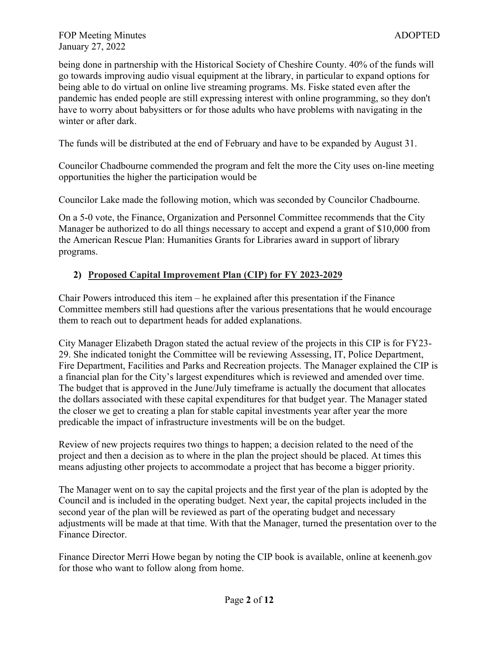being done in partnership with the Historical Society of Cheshire County. 40% of the funds will go towards improving audio visual equipment at the library, in particular to expand options for being able to do virtual on online live streaming programs. Ms. Fiske stated even after the pandemic has ended people are still expressing interest with online programming, so they don't have to worry about babysitters or for those adults who have problems with navigating in the winter or after dark.

The funds will be distributed at the end of February and have to be expanded by August 31.

Councilor Chadbourne commended the program and felt the more the City uses on-line meeting opportunities the higher the participation would be

Councilor Lake made the following motion, which was seconded by Councilor Chadbourne.

On a 5-0 vote, the Finance, Organization and Personnel Committee recommends that the City Manager be authorized to do all things necessary to accept and expend a grant of \$10,000 from the American Rescue Plan: Humanities Grants for Libraries award in support of library programs.

# **2) Proposed Capital Improvement Plan (CIP) for FY 2023-2029**

Chair Powers introduced this item – he explained after this presentation if the Finance Committee members still had questions after the various presentations that he would encourage them to reach out to department heads for added explanations.

City Manager Elizabeth Dragon stated the actual review of the projects in this CIP is for FY23- 29. She indicated tonight the Committee will be reviewing Assessing, IT, Police Department, Fire Department, Facilities and Parks and Recreation projects. The Manager explained the CIP is a financial plan for the City's largest expenditures which is reviewed and amended over time. The budget that is approved in the June/July timeframe is actually the document that allocates the dollars associated with these capital expenditures for that budget year. The Manager stated the closer we get to creating a plan for stable capital investments year after year the more predicable the impact of infrastructure investments will be on the budget.

Review of new projects requires two things to happen; a decision related to the need of the project and then a decision as to where in the plan the project should be placed. At times this means adjusting other projects to accommodate a project that has become a bigger priority.

The Manager went on to say the capital projects and the first year of the plan is adopted by the Council and is included in the operating budget. Next year, the capital projects included in the second year of the plan will be reviewed as part of the operating budget and necessary adjustments will be made at that time. With that the Manager, turned the presentation over to the Finance Director.

Finance Director Merri Howe began by noting the CIP book is available, online at keenenh.gov for those who want to follow along from home.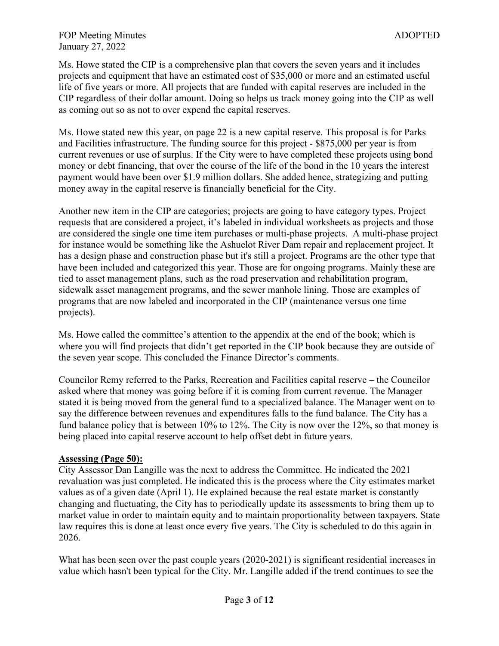Ms. Howe stated the CIP is a comprehensive plan that covers the seven years and it includes projects and equipment that have an estimated cost of \$35,000 or more and an estimated useful life of five years or more. All projects that are funded with capital reserves are included in the CIP regardless of their dollar amount. Doing so helps us track money going into the CIP as well as coming out so as not to over expend the capital reserves.

Ms. Howe stated new this year, on page 22 is a new capital reserve. This proposal is for Parks and Facilities infrastructure. The funding source for this project - \$875,000 per year is from current revenues or use of surplus. If the City were to have completed these projects using bond money or debt financing, that over the course of the life of the bond in the 10 years the interest payment would have been over \$1.9 million dollars. She added hence, strategizing and putting money away in the capital reserve is financially beneficial for the City.

Another new item in the CIP are categories; projects are going to have category types. Project requests that are considered a project, it's labeled in individual worksheets as projects and those are considered the single one time item purchases or multi-phase projects. A multi-phase project for instance would be something like the Ashuelot River Dam repair and replacement project. It has a design phase and construction phase but it's still a project. Programs are the other type that have been included and categorized this year. Those are for ongoing programs. Mainly these are tied to asset management plans, such as the road preservation and rehabilitation program, sidewalk asset management programs, and the sewer manhole lining. Those are examples of programs that are now labeled and incorporated in the CIP (maintenance versus one time projects).

Ms. Howe called the committee's attention to the appendix at the end of the book; which is where you will find projects that didn't get reported in the CIP book because they are outside of the seven year scope. This concluded the Finance Director's comments.

Councilor Remy referred to the Parks, Recreation and Facilities capital reserve – the Councilor asked where that money was going before if it is coming from current revenue. The Manager stated it is being moved from the general fund to a specialized balance. The Manager went on to say the difference between revenues and expenditures falls to the fund balance. The City has a fund balance policy that is between 10% to 12%. The City is now over the 12%, so that money is being placed into capital reserve account to help offset debt in future years.

### **Assessing (Page 50):**

City Assessor Dan Langille was the next to address the Committee. He indicated the 2021 revaluation was just completed. He indicated this is the process where the City estimates market values as of a given date (April 1). He explained because the real estate market is constantly changing and fluctuating, the City has to periodically update its assessments to bring them up to market value in order to maintain equity and to maintain proportionality between taxpayers. State law requires this is done at least once every five years. The City is scheduled to do this again in 2026.

What has been seen over the past couple years (2020-2021) is significant residential increases in value which hasn't been typical for the City. Mr. Langille added if the trend continues to see the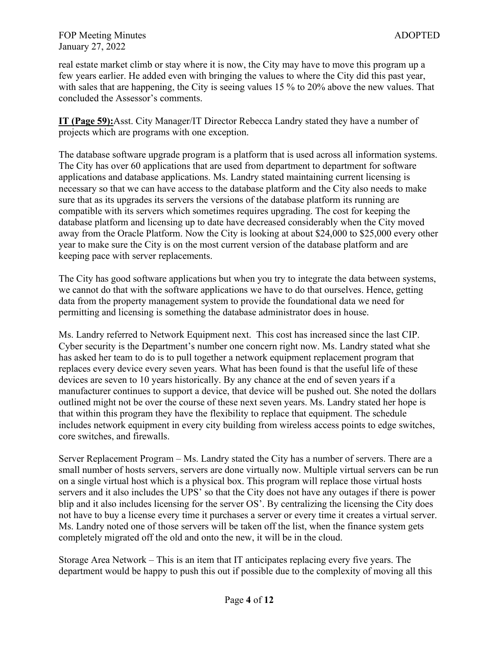real estate market climb or stay where it is now, the City may have to move this program up a few years earlier. He added even with bringing the values to where the City did this past year, with sales that are happening, the City is seeing values 15 % to 20% above the new values. That concluded the Assessor's comments.

**IT (Page 59):**Asst. City Manager/IT Director Rebecca Landry stated they have a number of projects which are programs with one exception.

The database software upgrade program is a platform that is used across all information systems. The City has over 60 applications that are used from department to department for software applications and database applications. Ms. Landry stated maintaining current licensing is necessary so that we can have access to the database platform and the City also needs to make sure that as its upgrades its servers the versions of the database platform its running are compatible with its servers which sometimes requires upgrading. The cost for keeping the database platform and licensing up to date have decreased considerably when the City moved away from the Oracle Platform. Now the City is looking at about \$24,000 to \$25,000 every other year to make sure the City is on the most current version of the database platform and are keeping pace with server replacements.

The City has good software applications but when you try to integrate the data between systems, we cannot do that with the software applications we have to do that ourselves. Hence, getting data from the property management system to provide the foundational data we need for permitting and licensing is something the database administrator does in house.

Ms. Landry referred to Network Equipment next. This cost has increased since the last CIP. Cyber security is the Department's number one concern right now. Ms. Landry stated what she has asked her team to do is to pull together a network equipment replacement program that replaces every device every seven years. What has been found is that the useful life of these devices are seven to 10 years historically. By any chance at the end of seven years if a manufacturer continues to support a device, that device will be pushed out. She noted the dollars outlined might not be over the course of these next seven years. Ms. Landry stated her hope is that within this program they have the flexibility to replace that equipment. The schedule includes network equipment in every city building from wireless access points to edge switches, core switches, and firewalls.

Server Replacement Program – Ms. Landry stated the City has a number of servers. There are a small number of hosts servers, servers are done virtually now. Multiple virtual servers can be run on a single virtual host which is a physical box. This program will replace those virtual hosts servers and it also includes the UPS' so that the City does not have any outages if there is power blip and it also includes licensing for the server OS'. By centralizing the licensing the City does not have to buy a license every time it purchases a server or every time it creates a virtual server. Ms. Landry noted one of those servers will be taken off the list, when the finance system gets completely migrated off the old and onto the new, it will be in the cloud.

Storage Area Network – This is an item that IT anticipates replacing every five years. The department would be happy to push this out if possible due to the complexity of moving all this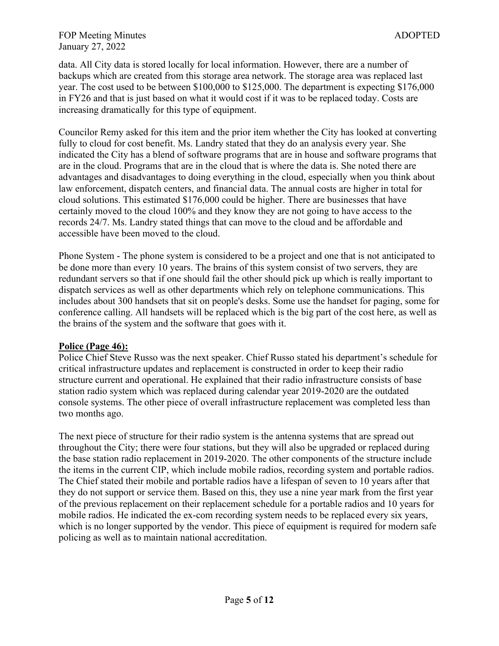#### FOP Meeting Minutes and the state of the state of the state and the state and the state and the state and the state and the state and the state and the state and the state and the state and the state and the state and the January 27, 2022

data. All City data is stored locally for local information. However, there are a number of backups which are created from this storage area network. The storage area was replaced last year. The cost used to be between \$100,000 to \$125,000. The department is expecting \$176,000 in FY26 and that is just based on what it would cost if it was to be replaced today. Costs are increasing dramatically for this type of equipment.

Councilor Remy asked for this item and the prior item whether the City has looked at converting fully to cloud for cost benefit. Ms. Landry stated that they do an analysis every year. She indicated the City has a blend of software programs that are in house and software programs that are in the cloud. Programs that are in the cloud that is where the data is. She noted there are advantages and disadvantages to doing everything in the cloud, especially when you think about law enforcement, dispatch centers, and financial data. The annual costs are higher in total for cloud solutions. This estimated \$176,000 could be higher. There are businesses that have certainly moved to the cloud 100% and they know they are not going to have access to the records 24/7. Ms. Landry stated things that can move to the cloud and be affordable and accessible have been moved to the cloud.

Phone System - The phone system is considered to be a project and one that is not anticipated to be done more than every 10 years. The brains of this system consist of two servers, they are redundant servers so that if one should fail the other should pick up which is really important to dispatch services as well as other departments which rely on telephone communications. This includes about 300 handsets that sit on people's desks. Some use the handset for paging, some for conference calling. All handsets will be replaced which is the big part of the cost here, as well as the brains of the system and the software that goes with it.

### **Police (Page 46):**

Police Chief Steve Russo was the next speaker. Chief Russo stated his department's schedule for critical infrastructure updates and replacement is constructed in order to keep their radio structure current and operational. He explained that their radio infrastructure consists of base station radio system which was replaced during calendar year 2019-2020 are the outdated console systems. The other piece of overall infrastructure replacement was completed less than two months ago.

The next piece of structure for their radio system is the antenna systems that are spread out throughout the City; there were four stations, but they will also be upgraded or replaced during the base station radio replacement in 2019-2020. The other components of the structure include the items in the current CIP, which include mobile radios, recording system and portable radios. The Chief stated their mobile and portable radios have a lifespan of seven to 10 years after that they do not support or service them. Based on this, they use a nine year mark from the first year of the previous replacement on their replacement schedule for a portable radios and 10 years for mobile radios. He indicated the ex-com recording system needs to be replaced every six years, which is no longer supported by the vendor. This piece of equipment is required for modern safe policing as well as to maintain national accreditation.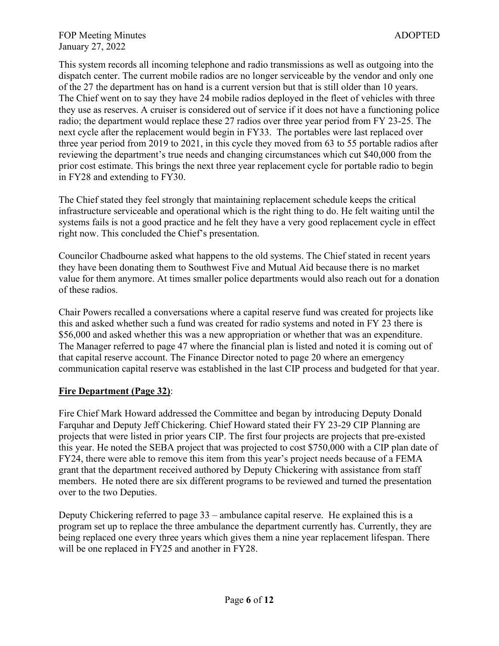This system records all incoming telephone and radio transmissions as well as outgoing into the dispatch center. The current mobile radios are no longer serviceable by the vendor and only one of the 27 the department has on hand is a current version but that is still older than 10 years. The Chief went on to say they have 24 mobile radios deployed in the fleet of vehicles with three they use as reserves. A cruiser is considered out of service if it does not have a functioning police radio; the department would replace these 27 radios over three year period from FY 23-25. The next cycle after the replacement would begin in FY33. The portables were last replaced over three year period from 2019 to 2021, in this cycle they moved from 63 to 55 portable radios after reviewing the department's true needs and changing circumstances which cut \$40,000 from the prior cost estimate. This brings the next three year replacement cycle for portable radio to begin in FY28 and extending to FY30.

The Chief stated they feel strongly that maintaining replacement schedule keeps the critical infrastructure serviceable and operational which is the right thing to do. He felt waiting until the systems fails is not a good practice and he felt they have a very good replacement cycle in effect right now. This concluded the Chief's presentation.

Councilor Chadbourne asked what happens to the old systems. The Chief stated in recent years they have been donating them to Southwest Five and Mutual Aid because there is no market value for them anymore. At times smaller police departments would also reach out for a donation of these radios.

Chair Powers recalled a conversations where a capital reserve fund was created for projects like this and asked whether such a fund was created for radio systems and noted in FY 23 there is \$56,000 and asked whether this was a new appropriation or whether that was an expenditure. The Manager referred to page 47 where the financial plan is listed and noted it is coming out of that capital reserve account. The Finance Director noted to page 20 where an emergency communication capital reserve was established in the last CIP process and budgeted for that year.

### **Fire Department (Page 32)**:

Fire Chief Mark Howard addressed the Committee and began by introducing Deputy Donald Farquhar and Deputy Jeff Chickering. Chief Howard stated their FY 23-29 CIP Planning are projects that were listed in prior years CIP. The first four projects are projects that pre-existed this year. He noted the SEBA project that was projected to cost \$750,000 with a CIP plan date of FY24, there were able to remove this item from this year's project needs because of a FEMA grant that the department received authored by Deputy Chickering with assistance from staff members. He noted there are six different programs to be reviewed and turned the presentation over to the two Deputies.

Deputy Chickering referred to page 33 – ambulance capital reserve. He explained this is a program set up to replace the three ambulance the department currently has. Currently, they are being replaced one every three years which gives them a nine year replacement lifespan. There will be one replaced in FY25 and another in FY28.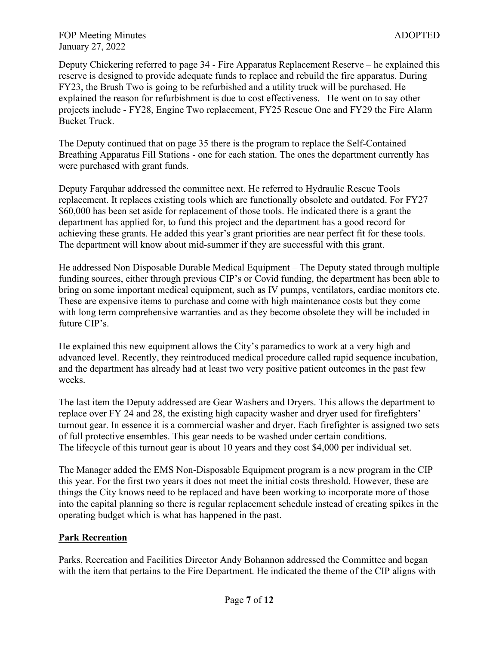Deputy Chickering referred to page 34 - Fire Apparatus Replacement Reserve – he explained this reserve is designed to provide adequate funds to replace and rebuild the fire apparatus. During FY23, the Brush Two is going to be refurbished and a utility truck will be purchased. He explained the reason for refurbishment is due to cost effectiveness. He went on to say other projects include - FY28, Engine Two replacement, FY25 Rescue One and FY29 the Fire Alarm Bucket Truck.

The Deputy continued that on page 35 there is the program to replace the Self-Contained Breathing Apparatus Fill Stations - one for each station. The ones the department currently has were purchased with grant funds.

Deputy Farquhar addressed the committee next. He referred to Hydraulic Rescue Tools replacement. It replaces existing tools which are functionally obsolete and outdated. For FY27 \$60,000 has been set aside for replacement of those tools. He indicated there is a grant the department has applied for, to fund this project and the department has a good record for achieving these grants. He added this year's grant priorities are near perfect fit for these tools. The department will know about mid-summer if they are successful with this grant.

He addressed Non Disposable Durable Medical Equipment – The Deputy stated through multiple funding sources, either through previous CIP's or Covid funding, the department has been able to bring on some important medical equipment, such as IV pumps, ventilators, cardiac monitors etc. These are expensive items to purchase and come with high maintenance costs but they come with long term comprehensive warranties and as they become obsolete they will be included in future CIP's.

He explained this new equipment allows the City's paramedics to work at a very high and advanced level. Recently, they reintroduced medical procedure called rapid sequence incubation, and the department has already had at least two very positive patient outcomes in the past few weeks.

The last item the Deputy addressed are Gear Washers and Dryers. This allows the department to replace over FY 24 and 28, the existing high capacity washer and dryer used for firefighters' turnout gear. In essence it is a commercial washer and dryer. Each firefighter is assigned two sets of full protective ensembles. This gear needs to be washed under certain conditions. The lifecycle of this turnout gear is about 10 years and they cost \$4,000 per individual set.

The Manager added the EMS Non-Disposable Equipment program is a new program in the CIP this year. For the first two years it does not meet the initial costs threshold. However, these are things the City knows need to be replaced and have been working to incorporate more of those into the capital planning so there is regular replacement schedule instead of creating spikes in the operating budget which is what has happened in the past.

# **Park Recreation**

Parks, Recreation and Facilities Director Andy Bohannon addressed the Committee and began with the item that pertains to the Fire Department. He indicated the theme of the CIP aligns with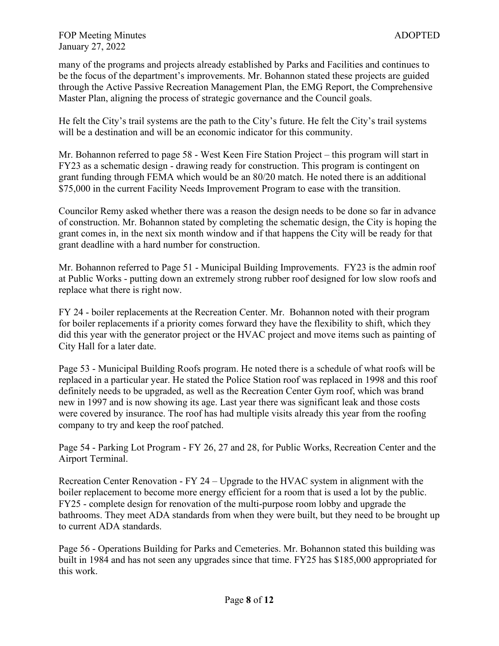many of the programs and projects already established by Parks and Facilities and continues to be the focus of the department's improvements. Mr. Bohannon stated these projects are guided through the Active Passive Recreation Management Plan, the EMG Report, the Comprehensive Master Plan, aligning the process of strategic governance and the Council goals.

He felt the City's trail systems are the path to the City's future. He felt the City's trail systems will be a destination and will be an economic indicator for this community.

Mr. Bohannon referred to page 58 - West Keen Fire Station Project – this program will start in FY23 as a schematic design - drawing ready for construction. This program is contingent on grant funding through FEMA which would be an 80/20 match. He noted there is an additional \$75,000 in the current Facility Needs Improvement Program to ease with the transition.

Councilor Remy asked whether there was a reason the design needs to be done so far in advance of construction. Mr. Bohannon stated by completing the schematic design, the City is hoping the grant comes in, in the next six month window and if that happens the City will be ready for that grant deadline with a hard number for construction.

Mr. Bohannon referred to Page 51 - Municipal Building Improvements. FY23 is the admin roof at Public Works - putting down an extremely strong rubber roof designed for low slow roofs and replace what there is right now.

FY 24 - boiler replacements at the Recreation Center. Mr. Bohannon noted with their program for boiler replacements if a priority comes forward they have the flexibility to shift, which they did this year with the generator project or the HVAC project and move items such as painting of City Hall for a later date.

Page 53 - Municipal Building Roofs program. He noted there is a schedule of what roofs will be replaced in a particular year. He stated the Police Station roof was replaced in 1998 and this roof definitely needs to be upgraded, as well as the Recreation Center Gym roof, which was brand new in 1997 and is now showing its age. Last year there was significant leak and those costs were covered by insurance. The roof has had multiple visits already this year from the roofing company to try and keep the roof patched.

Page 54 - Parking Lot Program - FY 26, 27 and 28, for Public Works, Recreation Center and the Airport Terminal.

Recreation Center Renovation - FY 24 – Upgrade to the HVAC system in alignment with the boiler replacement to become more energy efficient for a room that is used a lot by the public. FY25 - complete design for renovation of the multi-purpose room lobby and upgrade the bathrooms. They meet ADA standards from when they were built, but they need to be brought up to current ADA standards.

Page 56 - Operations Building for Parks and Cemeteries. Mr. Bohannon stated this building was built in 1984 and has not seen any upgrades since that time. FY25 has \$185,000 appropriated for this work.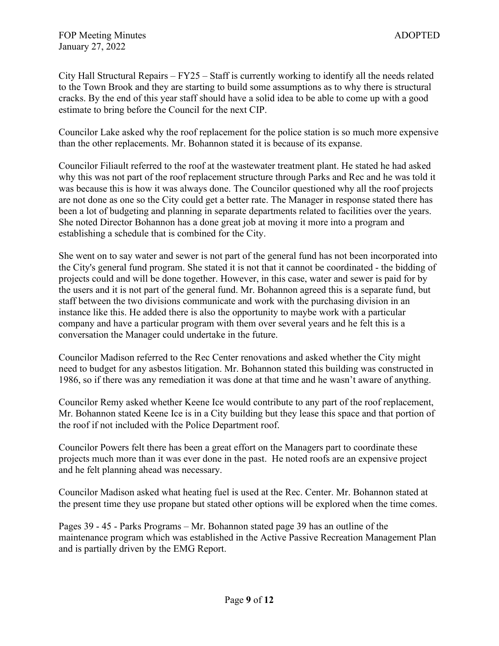City Hall Structural Repairs – FY25 – Staff is currently working to identify all the needs related to the Town Brook and they are starting to build some assumptions as to why there is structural cracks. By the end of this year staff should have a solid idea to be able to come up with a good estimate to bring before the Council for the next CIP.

Councilor Lake asked why the roof replacement for the police station is so much more expensive than the other replacements. Mr. Bohannon stated it is because of its expanse.

Councilor Filiault referred to the roof at the wastewater treatment plant. He stated he had asked why this was not part of the roof replacement structure through Parks and Rec and he was told it was because this is how it was always done. The Councilor questioned why all the roof projects are not done as one so the City could get a better rate. The Manager in response stated there has been a lot of budgeting and planning in separate departments related to facilities over the years. She noted Director Bohannon has a done great job at moving it more into a program and establishing a schedule that is combined for the City.

She went on to say water and sewer is not part of the general fund has not been incorporated into the City's general fund program. She stated it is not that it cannot be coordinated - the bidding of projects could and will be done together. However, in this case, water and sewer is paid for by the users and it is not part of the general fund. Mr. Bohannon agreed this is a separate fund, but staff between the two divisions communicate and work with the purchasing division in an instance like this. He added there is also the opportunity to maybe work with a particular company and have a particular program with them over several years and he felt this is a conversation the Manager could undertake in the future.

Councilor Madison referred to the Rec Center renovations and asked whether the City might need to budget for any asbestos litigation. Mr. Bohannon stated this building was constructed in 1986, so if there was any remediation it was done at that time and he wasn't aware of anything.

Councilor Remy asked whether Keene Ice would contribute to any part of the roof replacement, Mr. Bohannon stated Keene Ice is in a City building but they lease this space and that portion of the roof if not included with the Police Department roof.

Councilor Powers felt there has been a great effort on the Managers part to coordinate these projects much more than it was ever done in the past. He noted roofs are an expensive project and he felt planning ahead was necessary.

Councilor Madison asked what heating fuel is used at the Rec. Center. Mr. Bohannon stated at the present time they use propane but stated other options will be explored when the time comes.

Pages 39 - 45 - Parks Programs – Mr. Bohannon stated page 39 has an outline of the maintenance program which was established in the Active Passive Recreation Management Plan and is partially driven by the EMG Report.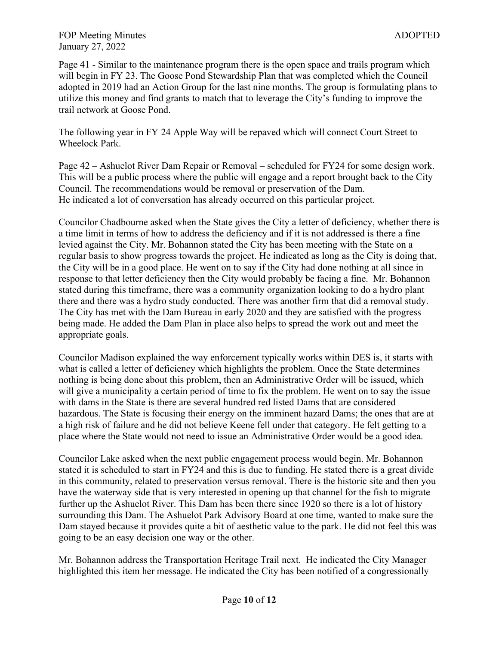Page 41 - Similar to the maintenance program there is the open space and trails program which will begin in FY 23. The Goose Pond Stewardship Plan that was completed which the Council adopted in 2019 had an Action Group for the last nine months. The group is formulating plans to utilize this money and find grants to match that to leverage the City's funding to improve the trail network at Goose Pond.

The following year in FY 24 Apple Way will be repaved which will connect Court Street to Wheelock Park.

Page 42 – Ashuelot River Dam Repair or Removal – scheduled for FY24 for some design work. This will be a public process where the public will engage and a report brought back to the City Council. The recommendations would be removal or preservation of the Dam. He indicated a lot of conversation has already occurred on this particular project.

Councilor Chadbourne asked when the State gives the City a letter of deficiency, whether there is a time limit in terms of how to address the deficiency and if it is not addressed is there a fine levied against the City. Mr. Bohannon stated the City has been meeting with the State on a regular basis to show progress towards the project. He indicated as long as the City is doing that, the City will be in a good place. He went on to say if the City had done nothing at all since in response to that letter deficiency then the City would probably be facing a fine. Mr. Bohannon stated during this timeframe, there was a community organization looking to do a hydro plant there and there was a hydro study conducted. There was another firm that did a removal study. The City has met with the Dam Bureau in early 2020 and they are satisfied with the progress being made. He added the Dam Plan in place also helps to spread the work out and meet the appropriate goals.

Councilor Madison explained the way enforcement typically works within DES is, it starts with what is called a letter of deficiency which highlights the problem. Once the State determines nothing is being done about this problem, then an Administrative Order will be issued, which will give a municipality a certain period of time to fix the problem. He went on to say the issue with dams in the State is there are several hundred red listed Dams that are considered hazardous. The State is focusing their energy on the imminent hazard Dams; the ones that are at a high risk of failure and he did not believe Keene fell under that category. He felt getting to a place where the State would not need to issue an Administrative Order would be a good idea.

Councilor Lake asked when the next public engagement process would begin. Mr. Bohannon stated it is scheduled to start in FY24 and this is due to funding. He stated there is a great divide in this community, related to preservation versus removal. There is the historic site and then you have the waterway side that is very interested in opening up that channel for the fish to migrate further up the Ashuelot River. This Dam has been there since 1920 so there is a lot of history surrounding this Dam. The Ashuelot Park Advisory Board at one time, wanted to make sure the Dam stayed because it provides quite a bit of aesthetic value to the park. He did not feel this was going to be an easy decision one way or the other.

Mr. Bohannon address the Transportation Heritage Trail next. He indicated the City Manager highlighted this item her message. He indicated the City has been notified of a congressionally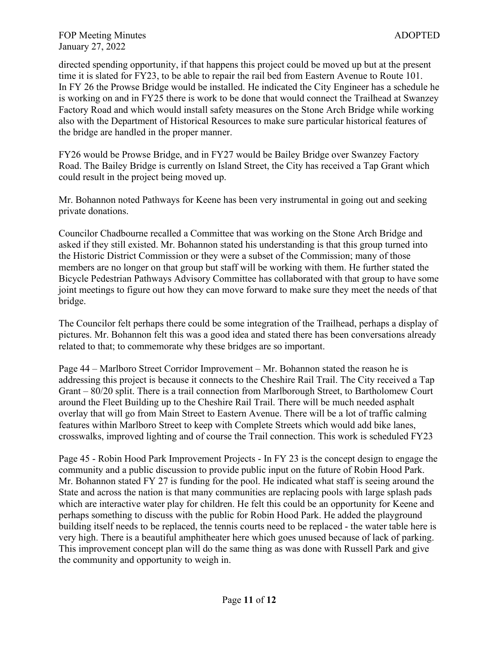directed spending opportunity, if that happens this project could be moved up but at the present time it is slated for FY23, to be able to repair the rail bed from Eastern Avenue to Route 101. In FY 26 the Prowse Bridge would be installed. He indicated the City Engineer has a schedule he is working on and in FY25 there is work to be done that would connect the Trailhead at Swanzey Factory Road and which would install safety measures on the Stone Arch Bridge while working also with the Department of Historical Resources to make sure particular historical features of the bridge are handled in the proper manner.

FY26 would be Prowse Bridge, and in FY27 would be Bailey Bridge over Swanzey Factory Road. The Bailey Bridge is currently on Island Street, the City has received a Tap Grant which could result in the project being moved up.

Mr. Bohannon noted Pathways for Keene has been very instrumental in going out and seeking private donations.

Councilor Chadbourne recalled a Committee that was working on the Stone Arch Bridge and asked if they still existed. Mr. Bohannon stated his understanding is that this group turned into the Historic District Commission or they were a subset of the Commission; many of those members are no longer on that group but staff will be working with them. He further stated the Bicycle Pedestrian Pathways Advisory Committee has collaborated with that group to have some joint meetings to figure out how they can move forward to make sure they meet the needs of that bridge.

The Councilor felt perhaps there could be some integration of the Trailhead, perhaps a display of pictures. Mr. Bohannon felt this was a good idea and stated there has been conversations already related to that; to commemorate why these bridges are so important.

Page 44 – Marlboro Street Corridor Improvement – Mr. Bohannon stated the reason he is addressing this project is because it connects to the Cheshire Rail Trail. The City received a Tap Grant – 80/20 split. There is a trail connection from Marlborough Street, to Bartholomew Court around the Fleet Building up to the Cheshire Rail Trail. There will be much needed asphalt overlay that will go from Main Street to Eastern Avenue. There will be a lot of traffic calming features within Marlboro Street to keep with Complete Streets which would add bike lanes, crosswalks, improved lighting and of course the Trail connection. This work is scheduled FY23

Page 45 - Robin Hood Park Improvement Projects - In FY 23 is the concept design to engage the community and a public discussion to provide public input on the future of Robin Hood Park. Mr. Bohannon stated FY 27 is funding for the pool. He indicated what staff is seeing around the State and across the nation is that many communities are replacing pools with large splash pads which are interactive water play for children. He felt this could be an opportunity for Keene and perhaps something to discuss with the public for Robin Hood Park. He added the playground building itself needs to be replaced, the tennis courts need to be replaced - the water table here is very high. There is a beautiful amphitheater here which goes unused because of lack of parking. This improvement concept plan will do the same thing as was done with Russell Park and give the community and opportunity to weigh in.